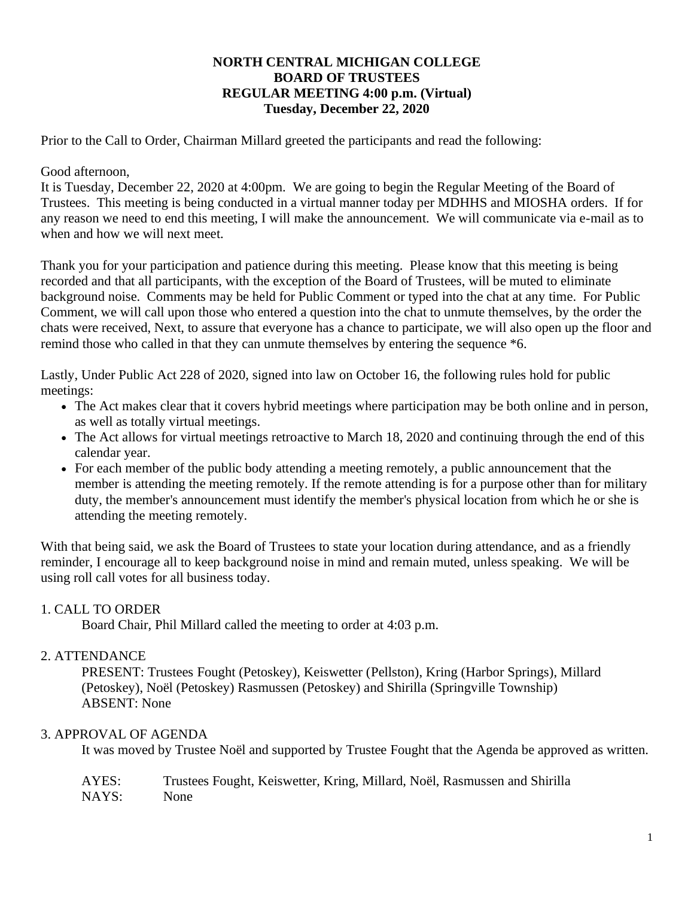### **NORTH CENTRAL MICHIGAN COLLEGE BOARD OF TRUSTEES REGULAR MEETING 4:00 p.m. (Virtual) Tuesday, December 22, 2020**

Prior to the Call to Order, Chairman Millard greeted the participants and read the following:

### Good afternoon,

It is Tuesday, December 22, 2020 at 4:00pm. We are going to begin the Regular Meeting of the Board of Trustees. This meeting is being conducted in a virtual manner today per MDHHS and MIOSHA orders. If for any reason we need to end this meeting, I will make the announcement. We will communicate via e-mail as to when and how we will next meet.

Thank you for your participation and patience during this meeting. Please know that this meeting is being recorded and that all participants, with the exception of the Board of Trustees, will be muted to eliminate background noise. Comments may be held for Public Comment or typed into the chat at any time. For Public Comment, we will call upon those who entered a question into the chat to unmute themselves, by the order the chats were received, Next, to assure that everyone has a chance to participate, we will also open up the floor and remind those who called in that they can unmute themselves by entering the sequence  $*6$ .

Lastly, Under Public Act 228 of 2020, signed into law on October 16, the following rules hold for public meetings:

- The Act makes clear that it covers hybrid meetings where participation may be both online and in person, as well as totally virtual meetings.
- The Act allows for virtual meetings retroactive to March 18, 2020 and continuing through the end of this calendar year.
- For each member of the public body attending a meeting remotely, a public announcement that the member is attending the meeting remotely. If the remote attending is for a purpose other than for military duty, the member's announcement must identify the member's physical location from which he or she is attending the meeting remotely.

With that being said, we ask the Board of Trustees to state your location during attendance, and as a friendly reminder, I encourage all to keep background noise in mind and remain muted, unless speaking. We will be using roll call votes for all business today.

## 1. CALL TO ORDER

Board Chair, Phil Millard called the meeting to order at 4:03 p.m.

## 2. ATTENDANCE

PRESENT: Trustees Fought (Petoskey), Keiswetter (Pellston), Kring (Harbor Springs), Millard (Petoskey), Noël (Petoskey) Rasmussen (Petoskey) and Shirilla (Springville Township) ABSENT: None

## 3. APPROVAL OF AGENDA

It was moved by Trustee Noël and supported by Trustee Fought that the Agenda be approved as written.

| AYES: | Trustees Fought, Keiswetter, Kring, Millard, Noël, Rasmussen and Shirilla |
|-------|---------------------------------------------------------------------------|
| NAYS: | <b>None</b>                                                               |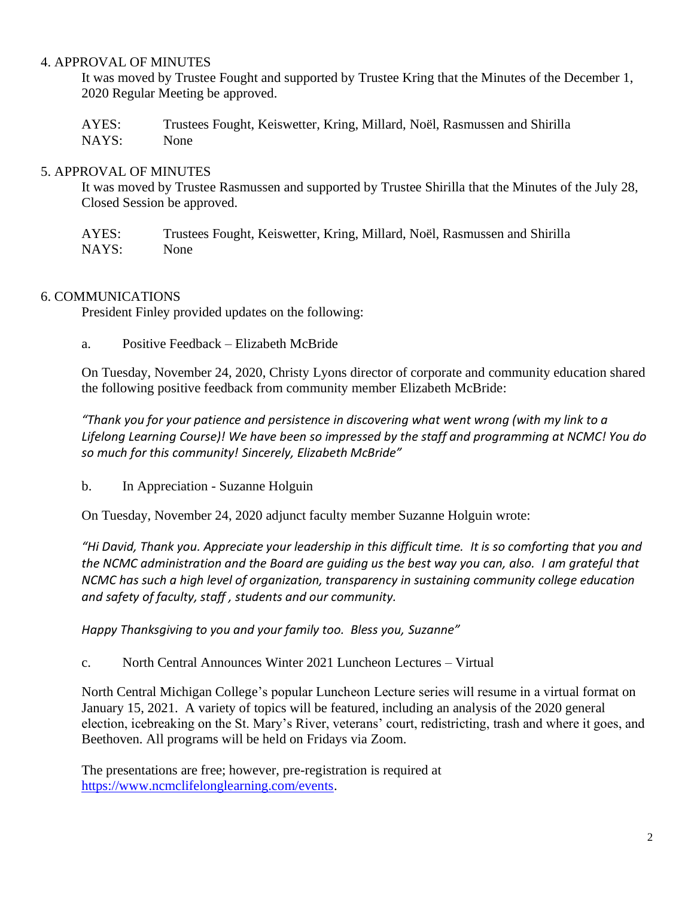### 4. APPROVAL OF MINUTES

It was moved by Trustee Fought and supported by Trustee Kring that the Minutes of the December 1, 2020 Regular Meeting be approved.

AYES: Trustees Fought, Keiswetter, Kring, Millard, Noël, Rasmussen and Shirilla NAYS: None

### 5. APPROVAL OF MINUTES

It was moved by Trustee Rasmussen and supported by Trustee Shirilla that the Minutes of the July 28, Closed Session be approved.

AYES: Trustees Fought, Keiswetter, Kring, Millard, Noël, Rasmussen and Shirilla NAYS: None

## 6. COMMUNICATIONS

President Finley provided updates on the following:

a. Positive Feedback – Elizabeth McBride

On Tuesday, November 24, 2020, Christy Lyons director of corporate and community education shared the following positive feedback from community member Elizabeth McBride:

*"Thank you for your patience and persistence in discovering what went wrong (with my link to a Lifelong Learning Course)! We have been so impressed by the staff and programming at NCMC! You do so much for this community! Sincerely, Elizabeth McBride"*

b. In Appreciation - Suzanne Holguin

On Tuesday, November 24, 2020 adjunct faculty member Suzanne Holguin wrote:

*"Hi David, Thank you. Appreciate your leadership in this difficult time. It is so comforting that you and the NCMC administration and the Board are guiding us the best way you can, also. I am grateful that NCMC has such a high level of organization, transparency in sustaining community college education and safety of faculty, staff , students and our community.* 

*Happy Thanksgiving to you and your family too. Bless you, Suzanne"*

c. North Central Announces Winter 2021 Luncheon Lectures – Virtual

[North Central Michigan College'](http://ncmich.edu/)s popular Luncheon Lecture series will resume in a virtual format on January 15, 2021. A variety of topics will be featured, including an analysis of the 2020 general election, icebreaking on the St. Mary's River, veterans' court, redistricting, trash and where it goes, and Beethoven. All programs will be held on Fridays via Zoom.

The presentations are free; however, pre-registration is required at [https://www.ncmclifelonglearning.com/events.](https://www.ncmclifelonglearning.com/events)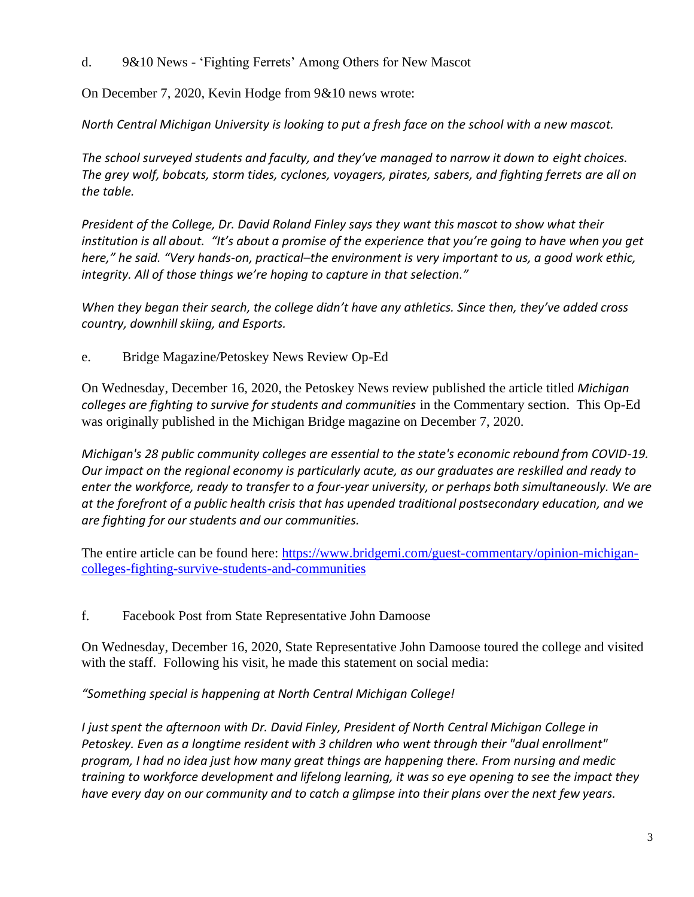d. 9&10 News - 'Fighting Ferrets' Among Others for New Mascot

On December 7, 2020, Kevin Hodge from 9&10 news wrote:

*North Central Michigan University is looking to put a fresh face on the school with a new mascot.*

The school surveyed students and faculty, and they've managed to narrow it down to eight choices. *The grey wolf, bobcats, storm tides, cyclones, voyagers, pirates, sabers, and fighting ferrets are all on the table.*

*President of the College, Dr. David Roland Finley says they want this mascot to show what their institution is all about. "It's about a promise of the experience that you're going to have when you get here," he said. "Very hands-on, practical–the environment is very important to us, a good work ethic, integrity. All of those things we're hoping to capture in that selection."*

*When they began their search, the college didn't have any athletics. Since then, they've added cross country, downhill skiing, and Esports.*

e. Bridge Magazine/Petoskey News Review Op-Ed

On Wednesday, December 16, 2020, the Petoskey News review published the article titled *Michigan colleges are fighting to survive for students and communities* in the Commentary section. This Op-Ed was originally published in the Michigan Bridge magazine on December 7, 2020.

*Michigan's 28 public community colleges are essential to the state's economic rebound from COVID-19. Our impact on the regional economy is particularly acute, as our graduates are reskilled and ready to enter the workforce, ready to transfer to a four-year university, or perhaps both simultaneously. We are at the forefront of a public health crisis that has upended traditional postsecondary education, and we are fighting for our students and our communities.* 

The entire article can be found here: [https://www.bridgemi.com/guest-commentary/opinion-michigan](https://www.bridgemi.com/guest-commentary/opinion-michigan-colleges-fighting-survive-students-and-communities)[colleges-fighting-survive-students-and-communities](https://www.bridgemi.com/guest-commentary/opinion-michigan-colleges-fighting-survive-students-and-communities)

f. Facebook Post from State Representative John Damoose

On Wednesday, December 16, 2020, State Representative John Damoose toured the college and visited with the staff. Following his visit, he made this statement on social media:

*"Something special is happening at North Central Michigan College!*

*I just spent the afternoon with Dr. David Finley, President of North Central Michigan College in Petoskey. Even as a longtime resident with 3 children who went through their "dual enrollment" program, I had no idea just how many great things are happening there. From nursing and medic training to workforce development and lifelong learning, it was so eye opening to see the impact they have every day on our community and to catch a glimpse into their plans over the next few years.*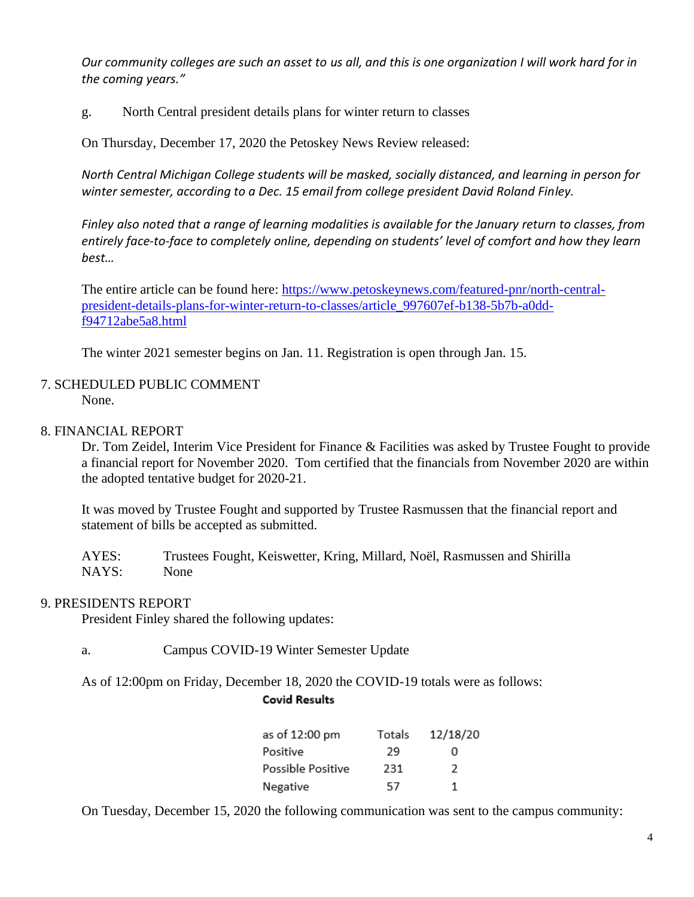*Our community colleges are such an asset to us all, and this is one organization I will work hard for in the coming years."*

g. North Central president details plans for winter return to classes

On Thursday, December 17, 2020 the Petoskey News Review released:

*North Central Michigan College students will be masked, socially distanced, and learning in person for winter semester, according to a Dec. 15 email from college president David Roland Finley.*

*Finley also noted that a range of learning modalities is available for the January return to classes, from entirely face-to-face to completely online, depending on students' level of comfort and how they learn best…*

The entire article can be found here: [https://www.petoskeynews.com/featured-pnr/north-central](https://www.petoskeynews.com/featured-pnr/north-central-president-details-plans-for-winter-return-to-classes/article_997607ef-b138-5b7b-a0dd-f94712abe5a8.html)[president-details-plans-for-winter-return-to-classes/article\\_997607ef-b138-5b7b-a0dd](https://www.petoskeynews.com/featured-pnr/north-central-president-details-plans-for-winter-return-to-classes/article_997607ef-b138-5b7b-a0dd-f94712abe5a8.html)[f94712abe5a8.html](https://www.petoskeynews.com/featured-pnr/north-central-president-details-plans-for-winter-return-to-classes/article_997607ef-b138-5b7b-a0dd-f94712abe5a8.html)

The winter 2021 semester begins on Jan. 11. Registration is open through Jan. 15.

#### 7. SCHEDULED PUBLIC COMMENT None.

### 8. FINANCIAL REPORT

Dr. Tom Zeidel, Interim Vice President for Finance & Facilities was asked by Trustee Fought to provide a financial report for November 2020. Tom certified that the financials from November 2020 are within the adopted tentative budget for 2020-21.

It was moved by Trustee Fought and supported by Trustee Rasmussen that the financial report and statement of bills be accepted as submitted.

AYES: Trustees Fought, Keiswetter, Kring, Millard, Noël, Rasmussen and Shirilla NAYS: None

#### 9. PRESIDENTS REPORT

President Finley shared the following updates:

a. Campus COVID-19 Winter Semester Update

As of 12:00pm on Friday, December 18, 2020 the COVID-19 totals were as follows:

#### **Covid Results**

| as of 12:00 pm    | Totals | 12/18/20      |
|-------------------|--------|---------------|
| Positive          | 29     | o             |
| Possible Positive | 231    | $\mathcal{L}$ |
| Negative          | 57     | 1             |

On Tuesday, December 15, 2020 the following communication was sent to the campus community: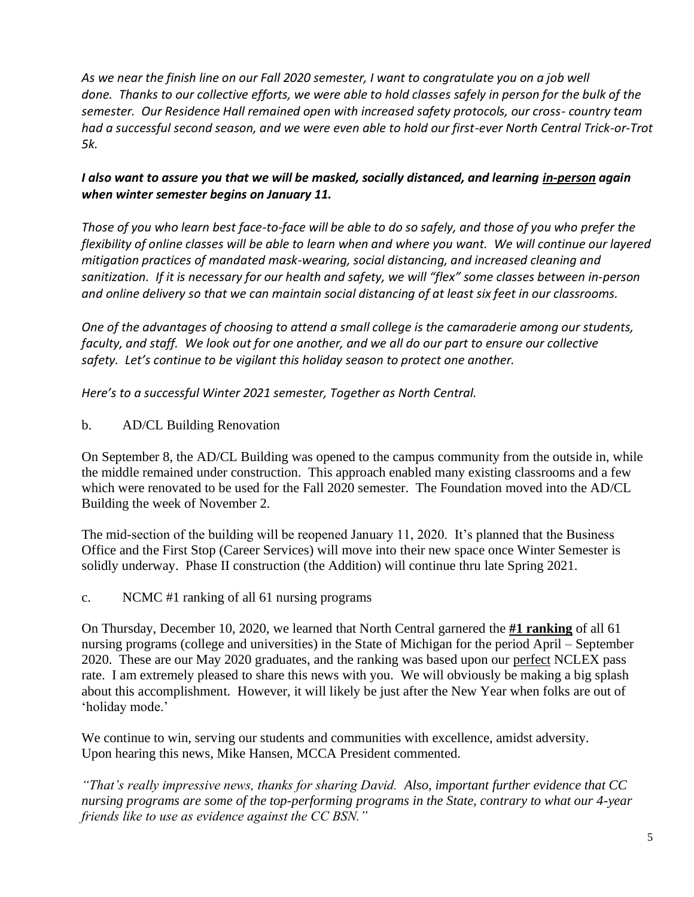*As we near the finish line on our Fall 2020 semester, I want to congratulate you on a job well done. Thanks to our collective efforts, we were able to hold classes safely in person for the bulk of the semester. Our Residence Hall remained open with increased safety protocols, our cross- country team had a successful second season, and we were even able to hold our first-ever North Central Trick-or-Trot 5k.*

# *I also want to assure you that we will be masked, socially distanced, and learning in-person again when winter semester begins on January 11.*

*Those of you who learn best face-to-face will be able to do so safely, and those of you who prefer the flexibility of online classes will be able to learn when and where you want. We will continue our layered mitigation practices of mandated mask-wearing, social distancing, and increased cleaning and sanitization. If it is necessary for our health and safety, we will "flex" some classes between in-person and online delivery so that we can maintain social distancing of at least six feet in our classrooms.*

*One of the advantages of choosing to attend a small college is the camaraderie among our students, faculty, and staff. We look out for one another, and we all do our part to ensure our collective safety. Let's continue to be vigilant this holiday season to protect one another.*

*Here's to a successful Winter 2021 semester, Together as North Central.*

b. AD/CL Building Renovation

On September 8, the AD/CL Building was opened to the campus community from the outside in, while the middle remained under construction. This approach enabled many existing classrooms and a few which were renovated to be used for the Fall 2020 semester. The Foundation moved into the AD/CL Building the week of November 2.

The mid-section of the building will be reopened January 11, 2020. It's planned that the Business Office and the First Stop (Career Services) will move into their new space once Winter Semester is solidly underway. Phase II construction (the Addition) will continue thru late Spring 2021.

c. NCMC #1 ranking of all 61 nursing programs

On Thursday, December 10, 2020, we learned that North Central garnered the **#1 ranking** of all 61 nursing programs (college and universities) in the State of Michigan for the period April – September 2020. These are our May 2020 graduates, and the ranking was based upon our perfect NCLEX pass rate. I am extremely pleased to share this news with you. We will obviously be making a big splash about this accomplishment. However, it will likely be just after the New Year when folks are out of 'holiday mode.'

We continue to win, serving our students and communities with excellence, amidst adversity. Upon hearing this news, Mike Hansen, MCCA President commented.

*"That's really impressive news, thanks for sharing David. Also, important further evidence that CC nursing programs are some of the top-performing programs in the State, contrary to what our 4-year friends like to use as evidence against the CC BSN."*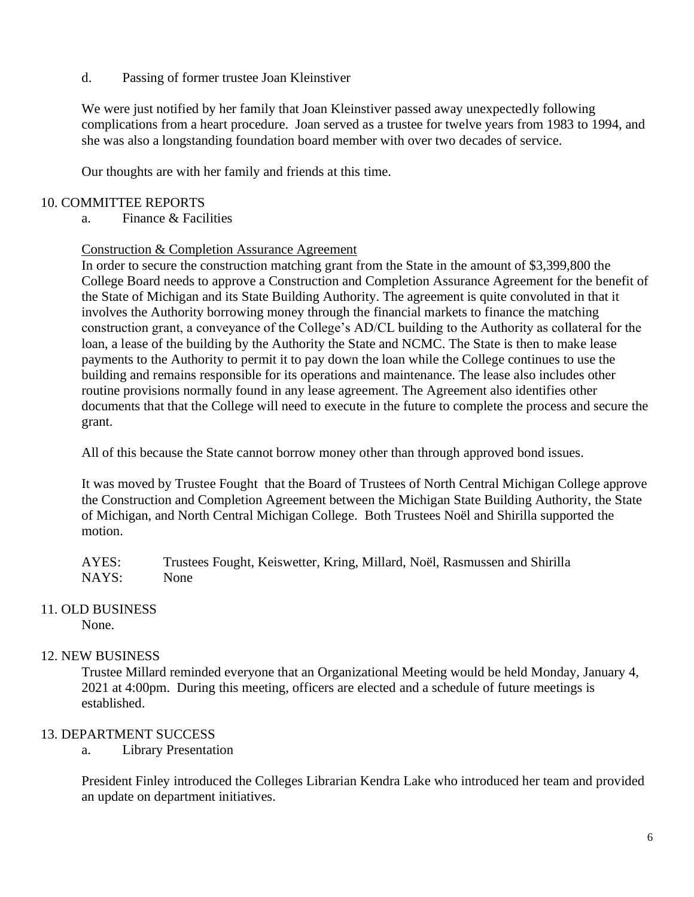d. Passing of former trustee Joan Kleinstiver

We were just notified by her family that Joan Kleinstiver passed away unexpectedly following complications from a heart procedure. Joan served as a trustee for twelve years from 1983 to 1994, and she was also a longstanding foundation board member with over two decades of service.

Our thoughts are with her family and friends at this time.

### 10. COMMITTEE REPORTS

a. Finance & Facilities

#### Construction & Completion Assurance Agreement

In order to secure the construction matching grant from the State in the amount of \$3,399,800 the College Board needs to approve a Construction and Completion Assurance Agreement for the benefit of the State of Michigan and its State Building Authority. The agreement is quite convoluted in that it involves the Authority borrowing money through the financial markets to finance the matching construction grant, a conveyance of the College's AD/CL building to the Authority as collateral for the loan, a lease of the building by the Authority the State and NCMC. The State is then to make lease payments to the Authority to permit it to pay down the loan while the College continues to use the building and remains responsible for its operations and maintenance. The lease also includes other routine provisions normally found in any lease agreement. The Agreement also identifies other documents that that the College will need to execute in the future to complete the process and secure the grant.

All of this because the State cannot borrow money other than through approved bond issues.

It was moved by Trustee Fought that the Board of Trustees of North Central Michigan College approve the Construction and Completion Agreement between the Michigan State Building Authority, the State of Michigan, and North Central Michigan College. Both Trustees Noël and Shirilla supported the motion.

AYES: Trustees Fought, Keiswetter, Kring, Millard, Noël, Rasmussen and Shirilla NAYS: None

## 11. OLD BUSINESS

None.

## 12. NEW BUSINESS

Trustee Millard reminded everyone that an Organizational Meeting would be held Monday, January 4, 2021 at 4:00pm. During this meeting, officers are elected and a schedule of future meetings is established.

## 13. DEPARTMENT SUCCESS

a. Library Presentation

President Finley introduced the Colleges Librarian Kendra Lake who introduced her team and provided an update on department initiatives.